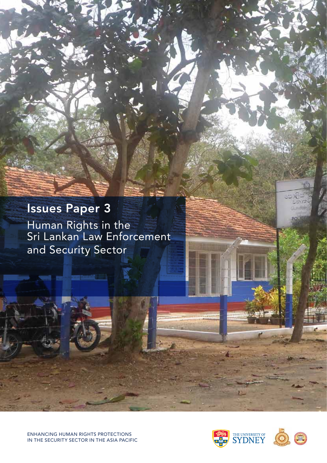# Issues Paper 3

Human Rights in the Sri Lankan Law Enforcement and Security Sector

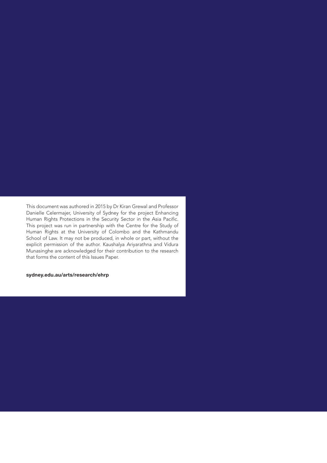This document was authored in 2015 by Dr Kiran Grewal and Professor Danielle Celermajer, University of Sydney for the project Enhancing Human Rights Protections in the Security Sector in the Asia Pacific. This project was run in partnership with the Centre for the Study of Human Rights at the University of Colombo and the Kathmandu School of Law. It may not be produced, in whole or part, without the explicit permission of the author. Kaushalya Ariyarathna and Vidura Munasinghe are acknowledged for their contribution to the research that forms the content of this Issues Paper.

#### sydney.edu.au/arts/research/ehrp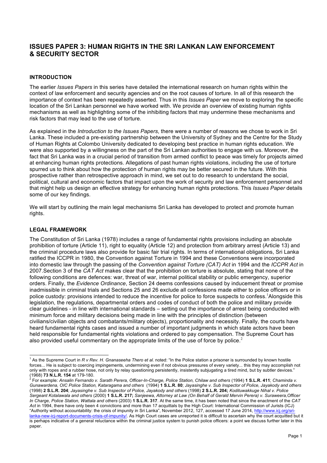## **ISSUES PAPER 3: HUMAN RIGHTS IN THE SRI LANKAN LAW ENFORCEMENT & SECURITY SECTOR**

#### **INTRODUCTION**

The earlier *Issues Papers* in this series have detailed the international research on human rights within the context of law enforcement and security agencies and on the root causes of torture. In all of this research the importance of context has been repeatedly asserted. Thus in this *Issues Paper* we move to exploring the specific location of the Sri Lankan personnel we have worked with. We provide an overview of existing human rights mechanisms as well as highlighting some of the inhibiting factors that may undermine these mechanisms and risk factors that may lead to the use of torture.

As explained in the *Introduction to the Issues Papers*, there were a number of reasons we chose to work in Sri Lanka. These included a pre-existing partnership between the University of Sydney and the Centre for the Study of Human Rights at Colombo University dedicated to developing best practice in human rights education. We were also supported by a willingness on the part of the Sri Lankan authorities to engage with us. Moreover, the fact that Sri Lanka was in a crucial period of transition from armed conflict to peace was timely for projects aimed at enhancing human rights protections. Allegations of past human rights violations, including the use of torture spurred us to think about how the protection of human rights may be better secured in the future. With this prospective rather than retrospective approach in mind, we set out to do research to understand the social, political, cultural and economic factors that impact upon the work of security and law enforcement personnel and that might help us design an effective strategy for enhancing human rights protections. This *Issues Paper* details some of our key findings.

We will start by outlining the main legal mechanisms Sri Lanka has developed to protect and promote human rights.

#### **LEGAL FRAMEWORK**

The Constitution of Sri Lanka (1978) includes a range of fundamental rights provisions including an absolute prohibition of torture (Article 11), right to equality (Article 12) and protection from arbitrary arrest (Article 13) and the criminal procedure laws also provide for basic fair trial rights. In terms of international obligations, Sri Lanka ratified the ICCPR in 1980, the Convention against Torture in 1994 and these Conventions were incorporated into domestic law through the passing of the *Convention against Torture (CAT) Act* in 1994 and the *ICCPR Act* in 2007.Section 3 of the *CAT Act* makes clear that the prohibition on torture is absolute, stating that none of the following conditions are defences: war, threat of war, internal political stability or public emergency, superior orders. Finally, the *Evidence Ordinance*, Section 24 deems confessions caused by inducement threat or promise inadmissible in criminal trials and Sections 25 and 26 exclude all confessions made either to police officers or in police custody: provisions intended to reduce the incentive for police to force suspects to confess.<sup>1</sup>Alongside this legislation, the regulations, departmental orders and codes of conduct of both the police and military provide clear guidelines - in line with international standards – setting out the importance of arrest being conducted with minimum force and military decisions being made in line with the principles of distinction (between civilians/civilian objects and combatants/military objects), proportionality and necessity. Finally, the courts have heard fundamental rights cases and issued a number of important judgments in which state actors have been held responsible for fundamental rights violations and ordered to pay compensation. The Supreme Court has also provided useful commentary on the appropriate limits of the use of force by police.<sup>2</sup>

 <sup>1</sup> As the Supreme Court in *R v Rev. H. Gnanaseeha Thero et al*. noted: "In the Police station a prisoner is surrounded by known hostile forces... He is subject to coercing impingements, undermining even if not obvious pressures of every variety... this they may accomplish not only with ropes and a rubber hose, not only by relay questioning persistently, insistently subjugating a tired mind, but by subtler devices."<br>(1968) 73 N.L.R. 154 at 179-180.

<sup>(1968)</sup> **73 N.L.R. 154** at 179-180. <sup>2</sup> For example: *Ansalin Fernando v. Sarath Perera, Officer-In-Charge, Police Station, Chilaw and others* (1994) **1 S.L.R. 411**; *Chaminda v. Gunawardena, OIC Police Station, Kataragama and others* (1994) **1 S.L.R. 80**; *Jayasinghe v. Sub Inspector of Police, Jayakody and others* (1998) **2 S.L.R. 204**; *Jayasinghe v. Sub Inspector of Police, Jayakody and others* (1998) **2 S.L.R. 204;** *Kodituwakkuge Nihal v. Police Sergeant Kotalawala and others* (2000) **1 S.L.R. 217;** *Sanjeewa, Attorney at Law (On Behalf of Gerald Mervin Perera) v. Suraweera,Officer In Charge, Police Station, Wattala and others* (2003) **1 S.L.R. 317**. At the same time, it has been noted that since the enactment of the *CAT Act* in 1994, there have only been 4 convictions and more than 17 acquittals by the High Court: International Commission of Jurists (ICJ) "Authority without accountability: the crisis of impunity in Sri Lanka", November 2012, 127, accessed 17 June 2014, http://www.icj.org/srilanka-new-icj-report-documents-crisis-of-impunity/. As High Court cases are unreported it is difficult to ascertain why the court acquitted but it is perhaps indicative of a general reluctance within the criminal justice system to punish police officers: a point we discuss further later in this paper.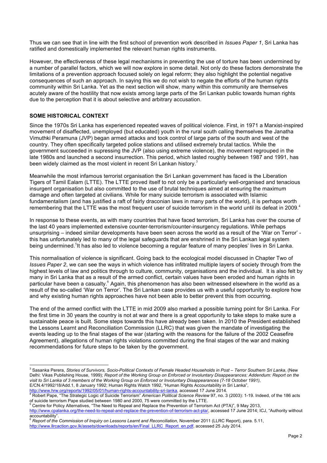Thus we can see that in line with the first school of prevention work described in *Issues Paper 1*, Sri Lanka has ratified and domestically implemented the relevant human rights instruments.

However, the effectiveness of these legal mechanisms in preventing the use of torture has been undermined by a number of parallel factors, which we will now explore in some detail. Not only do these factors demonstrate the limitations of a prevention approach focused solely on legal reform; they also highlight the potential negative consequences of such an approach. In saying this we do not wish to negate the efforts of the human rights community within Sri Lanka. Yet as the next section will show, many within this community are themselves acutely aware of the hostility that now exists among large parts of the Sri Lankan public towards human rights due to the perception that it is about selective and arbitrary accusation.

## **SOME HISTORICAL CONTEXT**

Since the 1970s Sri Lanka has experienced repeated waves of political violence. First, in 1971 a Marxist-inspired movement of disaffected, unemployed (but educated) youth in the rural south calling themselves the Janatha Vimuthki Peramuna (JVP) began armed attacks and took control of large parts of the south and west of the country. They often specifically targeted police stations and utilised extremely brutal tactics. While the government succeeded in supressing the JVP (also using extreme violence), the movement regrouped in the late 1980s and launched a second insurrection. This period, which lasted roughly between 1987 and 1991, has been widely claimed as the most violent in recent Sri Lankan history.<sup>3</sup>

Meanwhile the most infamous terrorist organisation the Sri Lankan government has faced is the Liberation Tigers of Tamil Ealam (LTTE). The LTTE proved itself to not only be a particularly well-organised and tenacious insurgent organisation but also committed to the use of brutal techniques aimed at ensuring the maximum damage and often targeted at civilians. While for many suicide terrorism is associated with Islamic fundamentalism (and has justified a raft of fairly draconian laws in many parts of the world), it is perhaps worth remembering that the LTTE was the most frequent user of suicide terrorism in the world until its defeat in 2009.<sup>4</sup>

In response to these events, as with many countries that have faced terrorism, Sri Lanka has over the course of the last 40 years implemented extensive counter-terrorism/counter-insurgency regulations. While perhaps unsurprising – indeed similar developments have been seen across the world as a result of the 'War on Terror' this has unfortunately led to many of the legal safeguards that are enshrined in the Sri Lankan legal system being undermined.<sup>5</sup>It has also led to violence becoming a regular feature of many peoples' lives in Sri Lanka.

This normalisation of violence is significant. Going back to the ecological model discussed in Chapter Two of *Issues Paper 2*, we can see the ways in which violence has infiltrated multiple layers of society through from the highest levels of law and politics through to culture, community, organisations and the individual. It is also felt by many in Sri Lanka that as a result of the armed conflict, certain values have been eroded and human rights in particular have been a casualty.<sup>6</sup> Again, this phenomenon has also been witnessed elsewhere in the world as a result of the so-called 'War on Terror'. The Sri Lankan case provides us with a useful opportunity to explore how and why existing human rights approaches have not been able to better prevent this from occurring.

The end of the armed conflict with the LTTE in mid 2009 also marked a possible turning point for Sri Lanka. For the first time in 30 years the country is not at war and there is a great opportunity to take steps to make sure a sustainable peace is built. Some steps towards this have already been taken. In 2010 the President established the Lessons Learnt and Reconciliation Commission (LLRC) that was given the mandate of investigating the events leading up to the final stages of the war (starting with the reasons for the failure of the 2002 Ceasefire Agreement), allegations of human rights violations committed during the final stages of the war and making recommendations for future steps to be taken by the government.

 <sup>3</sup> Sasanka Perera, *Stories of Survivors, Socio-Political Contexts of Female Headed Households in Post – Terror Southern Sri Lanka*, (New Delhi: Vikas Publishing House, 1999); *Report of the Working Group on Enforced or Involuntary Disappearances: Addendum: Report on the visit to Sri Lanka of 3 members of the Working Group on Enforced or Involuntary Disappearances (7-18 October 1991)*, E/CN.4/1992/18/Add.1, 8 January 1992; Human Rights Watch 1992, "Human Rights Accountability in Sri Lanka",

http://www.hrw.org/reports/1992/05/01/human-rights-accountability-sri-lanka, accessed 17 June 2014.<br>
<sup>4</sup> Robert Pape, "The Strategic Logic of Suicide Terrorism" *American Political Science Review* 97, no. 3 (2003): 1-19. I

Centre for Policy Alternatives, "The Need to Repeal and Replace the Prevention of Terrorism Act (PTA)", 9 May 2013,

http://www.cpalanka.org/the-need-to-repeal-and-replace-the-prevention-of-terrorism-act-pta/, accessed 17 June 2014; ICJ, "Authority without accountability".

<sup>6</sup> *Report of the Commission of Inquiry on Lessons Learnt and Reconciliation*, November 2011 (LLRC Report), para. 5.11, http://www.llrcaction.gov.lk/assets/downloads/reports/en/Final\_LLRC\_Report\_en.pdf, accessed 25 July 2014.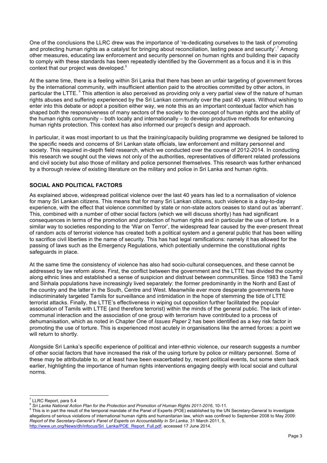One of the conclusions the LLRC drew was the importance of 're-dedicating ourselves to the task of promoting and protecting human rights as a catalyst for bringing about reconciliation, lasting peace and security'.<sup>7</sup> Among other measures, educating law enforcement and security personnel on human rights and building their capacity to comply with these standards has been repeatedly identified by the Government as a focus and it is in this context that our project was developed.<sup>8</sup>

At the same time, there is a feeling within Sri Lanka that there has been an unfair targeting of government forces by the international community, with insufficient attention paid to the atrocities committed by other actors, in particular the LTTE. <sup>9</sup> This attention is also perceived as providing only a very partial view of the nature of human rights abuses and suffering experienced by the Sri Lankan community over the past 40 years. Without wishing to enter into this debate or adopt a position either way, we note this as an important contextual factor which has shaped both the responsiveness of many sectors of the society to the concept of human rights and the ability of the human rights community – both locally and internationally – to develop productive methods for enhancing human rights protection. This context has also informed our project's design and approach.

In particular, it was most important to us that the training/capacity building programme we designed be tailored to the specific needs and concerns of Sri Lankan state officials, law enforcement and military personnel and society. This required in-depth field research, which we conducted over the course of 2012-2014. In conducting this research we sought out the views not only of the authorities, representatives of different related professions and civil society but also those of military and police personnel themselves. This research was further enhanced by a thorough review of existing literature on the military and police in Sri Lanka and human rights.

## **SOCIAL AND POLITICAL FACTORS**

As explained above, widespread political violence over the last 40 years has led to a normalisation of violence for many Sri Lankan citizens. This means that for many Sri Lankan citizens, such violence is a day-to-day experience, with the effect that violence committed by state or non-state actors ceases to stand out as 'aberrant'. This, combined with a number of other social factors (which we will discuss shortly) has had significant consequences in terms of the promotion and protection of human rights and in particular the use of torture. In a similar way to societies responding to the 'War on Terror', the widespread fear caused by the ever-present threat of random acts of terrorist violence has created both a political system and a general public that has been willing to sacrifice civil liberties in the name of security. This has had legal ramifications: namely it has allowed for the passing of laws such as the Emergency Regulations, which potentially undermine the constitutional rights safeguards in place.

At the same time the consistency of violence has also had socio-cultural consequences, and these cannot be addressed by law reform alone. First, the conflict between the government and the LTTE has divided the country along ethnic lines and established a sense of suspicion and distrust between communities. Since 1983 the Tamil and Sinhala populations have increasingly lived separately: the former predominantly in the North and East of the country and the latter in the South, Centre and West. Meanwhile ever more desperate governments have indiscriminately targeted Tamils for surveillance and intimidation in the hope of stemming the tide of LTTE terrorist attacks. Finally, the LTTE's effectiveness in wiping out opposition further facilitated the popular association of Tamils with LTTE (and therefore terrorist) within the minds of the general public. The lack of intercommunal interaction and the association of one group with terrorism have contributed to a process of dehumanisation, which as noted in Chapter One of *Issues Paper* 2 has been identified as a key risk factor in promoting the use of torture. This is experienced most acutely in organisations like the armed forces: a point we will return to shortly.

Alongside Sri Lanka's specific experience of political and inter-ethnic violence, our research suggests a number of other social factors that have increased the risk of the using torture by police or military personnel. Some of these may be attributable to, or at least have been exacerbated by, recent political events, but some stem back earlier, highlighting the importance of human rights interventions engaging deeply with local social and cultural norms.

<sup>&</sup>lt;sup>7</sup> LLRC Report, para 5.4<br><sup>8</sup> Sri Lanka National Action Plan for the Protection and Promotion of Human Rights 2011-2016, 10-11.<br><sup>9</sup> This is in part the result of the temporal mandate of the Panel of Experts (POE) establish allegations of serious violations of international human rights and humanitarian law, which was confined to September 2008 to May 2009: *Report of the Secretary-General's Panel of Experts on Accountability in Sri Lanka*, 31 March 2011, 5, http://www.un.org/News/dh/infocus/Sri\_Lanka/POE\_Report\_Full.pdf, accessed 17 June 2014.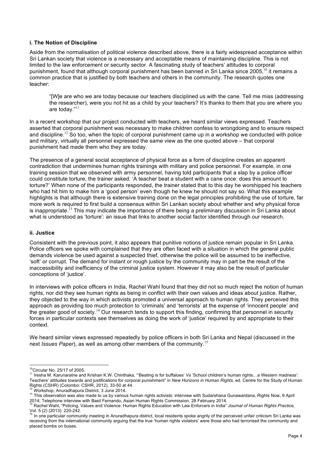#### **i. The Notion of Discipline**

Aside from the normalisation of political violence described above, there is a fairly widespread acceptance within Sri Lankan society that violence is a necessary and acceptable means of maintaining discipline. This is not limited to the law enforcement or security sector. A fascinating study of teachers' attitudes to corporal punishment, found that although corporal punishment has been banned in Sri Lanka since 2005,<sup>10</sup> it remains a common practice that is justified by both teachers and others in the community. The research quotes one teacher:

"[W]e are who we are today because our teachers disciplined us with the cane. Tell me miss (addressing the researcher), were you not hit as a child by your teachers? It's thanks to them that you are where you are today."<sup>11</sup>

In a recent workshop that our project conducted with teachers, we heard similar views expressed. Teachers asserted that corporal punishment was necessary to make children confess to wrongdoing and to ensure respect and discipline.<sup>12</sup> So too, when the topic of corporal punishment came up in a workshop we conducted with police and military, virtually all personnel expressed the same view as the one quoted above – that corporal punishment had made them who they are today.

The presence of a general social acceptance of physical force as a form of discipline creates an apparent contradiction that undermines human rights trainings with military and police personnel. For example, in one training session that we observed with army personnel, having told participants that a slap by a police officer could constitute torture, the trainer asked: 'A teacher beat a student with a cane once: does this amount to torture?' When none of the participants responded, the trainer stated that to this day he worshipped his teachers who had hit him to make him a 'good person' even though he knew he should not say so. What this example highlights is that although there is extensive training done on the legal principles prohibiting the use of torture, far more work is required to first build a consensus within Sri Lankan society about whether and why physical force is inappropriate.<sup>13</sup> This may indicate the importance of there being a preliminary discussion in Sri Lanka about what is understood as 'torture': an issue that links to another social factor identified through our research.

#### **ii. Justice**

Consistent with the previous point, it also appears that punitive notions of justice remain popular in Sri Lanka. Police officers we spoke with complained that they are often faced with a situation in which the general public demands violence be used against a suspected thief, otherwise the police will be assumed to be ineffective, 'soft' or corrupt. The demand for instant or rough justice by the community may in part be the result of the inaccessibility and inefficiency of the criminal justice system. However it may also be the result of particular conceptions of 'justice'.

In interviews with police officers in India, Rachel Wahl found that they did not so much reject the notion of human rights, nor did they see human rights as being in conflict with their own values and ideas about justice. Rather, they objected to the way in which activists promoted a universal approach to human rights. They perceived this approach as providing too much protection to 'criminals' and 'terrorists' at the expense of 'innocent people' and the greater good of society.<sup>14</sup> Our research tends to support this finding, confirming that personnel in security forces in particular contexts see themselves as doing the work of 'justice' required by and appropriate to their context.

We heard similar views expressed repeatedly by police officers in both Sri Lanka and Nepal (discussed in the next *Issues Paper*), as well as among other members of the community.<sup>15</sup>

<sup>&</sup>lt;sup>10</sup>Circular No. 25/17 of 2005.<br><sup>11</sup> Iresha M. Karunaratne and Krishan K.W. Chinthaka, "'Beating is for buffaloes' *Vs* 'School children's human rights…a Western madness': Teachers' attitudes towards and justifications for corporal punishment" in *New Horizons in Human Rights,* ed. Centre for the Study of Human

<sup>&</sup>lt;sup>12</sup> Workshop, Anuradhapura District, 3 June 2014.<br><sup>13</sup> This observation was also made to us by various human rights activists: interview with Sudarshana Gunawardana, Rights Now, 9 April<br>2014; Telephone interview with Bas

<sup>4</sup> Rachel Wahl, "Policing, Values and Violence: Human Rights Education with Law Enforcers in India" Journal of Human Rights Practice, Vol. 5 (2) (2013): 220-242.<br><sup>15</sup> In one particular community meeting in Anuradhapura district, local residents spoke angrily of the perceived unfair criticism Sri Lanka was

receiving from the international community arguing that the true 'human rights violators' were those who had terrorised the community and placed bombs on buses.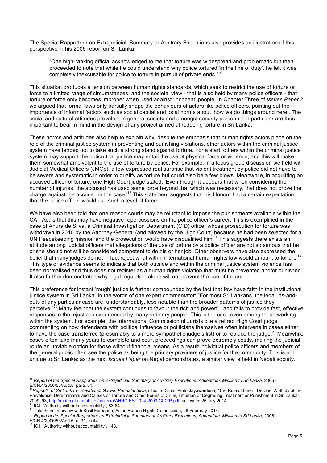The Special Rapporteur on Extrajudicial, Summary or Arbitrary Executions also provides an illustration of this perspective in his 2006 report on Sri Lanka:

"One high-ranking official acknowledged to me that torture was widespread and problematic but then proceeded to note that while he could understand why police tortured 'in the line of duty', he felt it was completely inexcusable for police to torture in pursuit of private ends."<sup>16</sup>

This situation produces a tension between human rights standards, which seek to restrict the use of torture or force to a limited range of circumstances, and the societal view - that is also held by many police officers - that torture or force only becomes improper when used against 'innocent' people. In Chapter Three of *Issues Paper* 2 we argued that formal laws only partially shape the behaviours of actors like police officers, pointing out the importance of informal factors such as social capital and local norms about 'how we do things around here'. The social and cultural attitudes prevalent in general society and amongst security personnel in particular are thus important to bear in mind in the design of any project aimed at reducing torture in Sri Lanka.

These norms and attitudes also help to explain why, despite the emphasis that human rights actors place on the role of the criminal justice system in preventing and punishing violations, other actors within the criminal justice system have tended not to take such a strong stand against torture. For a start, others within the criminal justice system may support the notion that justice may entail the use of physical force or violence, and this will make them somewhat ambivalent to the use of torture by police. For example, in a focus group discussion we held with Judicial Medical Officers (JMOs), a few expressed real surprise that violent treatment by police did not have to be severe and systematic in order to qualify as torture but could also be a few blows. Meanwhile, in acquitting an accused officer of torture, one High Court judge stated: 'Even though it appears that when considering the number of injuries, the accused has used some force beyond that which was necessary, that does not prove the charge against the accused in the case.<sup>'17</sup> This statement suggests that his Honour had a certain expectation that the police officer would use such a level of force.

We have also been told that one reason courts may be reluctant to impose the punishments available within the CAT Act is that this may have negative repercussions on the police officer's career. This is exemplified in the case of Anura de Silva, a Criminal Investigation Department (CID) officer whose prosecution for torture was withdrawn in 2010 by the Attorney-General (and allowed by the High Court) because he had been selected for a UN Peacekeeping mission and the prosecution would have disqualified him.<sup>18</sup> This suggests there exists an attitude among judicial officers that allegations of the use of torture by a police officer are not so serious that he or she should not still be considered competent to do his or her job. Other observers have also expressed the belief that many judges do not in fact reject what within international human rights law would amount to torture.<sup>19</sup> This type of evidence seems to indicate that both outside and within the criminal justice system violence has been normalised and thus does not register as a human rights violation that must be prevented and/or punished. It also further demonstrates why legal regulation alone will not prevent the use of torture.

This preference for instant 'rough' justice is further compounded by the fact that few have faith in the institutional justice system in Sri Lanka. In the words of one expert commentator: "For most Sri Lankans, the legal ins-andouts of any particular case are, understandably, less notable than the broader patterns of justice they perceive."<sup>20</sup> Many feel that the system continues to favour the rich and powerful and fails to provide fast, effective responses to the injustices experienced by many ordinary people. This is the case even among those working within the system. For example, the International Commission of Jurists cite a retired High Court judge commenting on how defendants with political influence or politicians themselves often intervene in cases either to have the case transferred (presumably to a more sympathetic judge's list) or to replace the judge.<sup>21</sup> Meanwhile cases often take many years to complete and court proceedings can prove extremely costly, making the judicial route an unviable option for those without financial means. As a result individual police officers and members of the general public often see the police as being the primary providers of justice for the community. This is not unique to Sri Lanka: as the next *Issues Paper* on Nepal demonstrates, a similar view is held in Nepali society.

<sup>&</sup>lt;sup>16</sup> Report of the Special Rapporteur on Extrajudicial, Summary or Arbitrary Executions, Addendum: Mission to Sri Lanka, 2006 -<br>E/CN.4/2006/53/Add.5, para. 54.

<sup>.&</sup>lt;br>Fepublic of Sri Lanka v. Havahandi Garwin Premalal Silva, cited in Kishali Pinto-Jayawardena, "The Rule of Law in Decline: A Study of the Prevalence, Determinants and Causes of Torture and Other Forms of Cruel, Inhuman or Degrading Treatment or Punishment in Sri Lanka", 2009, 93, http://material.ahrchk.net/srilanka/AHRC-FST-024-2009-CIDTP.pdf, accessed 25 Ju

<sup>&</sup>lt;sup>18</sup> ICJ, "Authority without accountability", 83-84.<br><sup>19</sup> Telephone interview with Basil Fernando, Asian Human Rights Commission, 28 February 2014.<br><sup>20</sup> Report of the Special Rapporteur on Extrajudicial, Summary or Arbitra

E/CN.4/2006/53/Add.5, at 31, fn.44.<br><sup>21</sup> ICJ, "Authority without accountability", 143.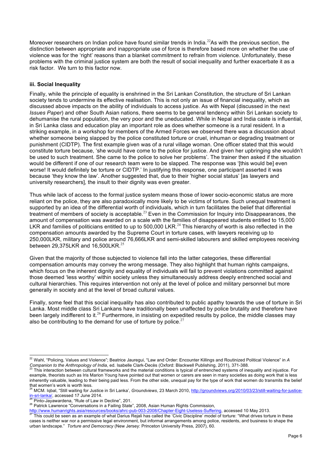Moreover researchers on Indian police have found similar trends in India.<sup>22</sup>As with the previous section, the distinction between appropriate and inappropriate use of force is therefore based more on whether the use of violence was for the 'right' reasons than a blanket commitment to refrain from violence. Unfortunately, these problems with the criminal justice system are both the result of social inequality and further exacerbate it as a risk factor. We turn to this factor now.

#### **iii. Social Inequality**

Finally, while the principle of equality is enshrined in the Sri Lankan Constitution, the structure of Sri Lankan society tends to undermine its effective realisation. This is not only an issue of financial inequality, which as discussed above impacts on the ability of individuals to access justice. As with Nepal (discussed in the next *Issues Paper*) and other South Asian nations, there seems to be general tendency within Sri Lankan society to dehumanise the rural population, the very poor and the uneducated. While in Nepal and India caste is influential, in Sri Lanka class and education play an important role as does whether someone is a rural resident. In a striking example, in a workshop for members of the Armed Forces we observed there was a discussion about whether someone being slapped by the police constituted torture or cruel, inhuman or degrading treatment or punishment (CIDTP). The first example given was of a rural village woman. One officer stated that this would constitute torture because, 'she would have come to the police for justice. And given her upbringing she wouldn't be used to such treatment. She came to the police to solve her problems'. The trainer then asked if the situation would be different if one of our research team were to be slapped. The response was '[this would be] even worse! It would definitely be torture or CIDTP.' In justifying this response, one participant asserted it was because 'they know the law'. Another suggested that, due to their 'higher social status' [as lawyers and university researchers], the insult to their dignity was even greater.

Thus while lack of access to the formal justice system means those of lower socio-economic status are more reliant on the police, they are also paradoxically more likely to be victims of torture. Such unequal treatment is supported by an idea of the differential worth of individuals, which in turn facilitates the belief that differential treatment of members of society is acceptable.<sup>23</sup> Even in the Commission for Inquiry into Disappearances, the amount of compensation was awarded on a scale with the families of disappeared students entitled to 15,000 LKR and families of politicians entitled to up to 500,000 LKR.<sup>24</sup> This hierarchy of worth is also reflected in the compensation amounts awarded by the Supreme Court in torture cases, with lawyers receiving up to 250,000LKR, military and police around 76,666LKR and semi-skilled labourers and skilled employees receiving between 29,375LKR and 16,500LKR.<sup>25</sup>

Given that the majority of those subjected to violence fall into the latter categories, these differential compensation amounts may convey the wrong message. They also highlight that human rights campaigns, which focus on the inherent dignity and equality of individuals will fail to prevent violations committed against those deemed 'less worthy' within society unless they simultaneously address deeply entrenched social and cultural hierarchies. This requires intervention not only at the level of police and military personnel but more generally in society and at the level of broad cultural values.

Finally, some feel that this social inequality has also contributed to public apathy towards the use of torture in Sri Lanka. Most middle class Sri Lankans have traditionally been unaffected by police brutality and therefore have been largely indifferent to it.<sup>26</sup> Furthermore, in insisting on expedited results by police, the middle classes may also be contributing to the demand for use of torture by police. $27$ 

of the component of the component of the component of the component of the component of the component of the component of the component of the component of the component of the component of what Darius Rejali has called th

<sup>&</sup>lt;sup>22</sup> Wahl, "Policing, Values and Violence"; Beatrice Jauregui, "Law and Order: Encounter Killings and Routinized Political Violence" in A<br>Companion to the Anthropology of India, ed. Isabelle Clark-Decès (Oxford: Blackwell

This interaction between cultural frameworks and the material conditions is typical of entrenched systems of inequality and injustice. For example, theorists such as Iris Marion Young have pointed out that women or carers are seen in many societies as doing work that is less inherently valuable, leading to their being paid less. From the other side, unequal pay for the type of work that women do transmits the belief that women's work is worth less.

<sup>24</sup> MCM. Iqbal, "Still waiting for Justice in Sri Lanka', *Groundviews*, 23 March 2010, http://groundviews.org/2010/03/23/still-waiting-for-justicein-sri-lanka/, accessed 17 June 2014.<br><sup>25</sup> Pinto-Jayawardena, "Rule of Law in Decline", 201.<br><sup>26</sup> Patrick Lawrence "Conversations in a Failing State", 2008, Asian Human Rights Commission,

cases is neither war nor a permissive legal environment, but informal arrangements among police, residents, and business to shape the urban landscape." *Torture and Democracy* (New Jersey: Princeton University Press, 2007), 60.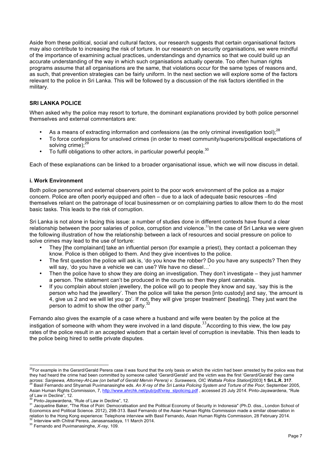Aside from these political, social and cultural factors, our research suggests that certain organisational factors may also contribute to increasing the risk of torture. In our research on security organisations, we were mindful of the importance of examining actual practices, understandings and dynamics so that we could build up an accurate understanding of the way in which such organisations actually operate. Too often human rights programs assume that all organisations are the same, that violations occur for the same types of reasons and, as such, that prevention strategies can be fairly uniform. In the next section we will explore some of the factors relevant to the police in Sri Lanka. This will be followed by a discussion of the risk factors identified in the military.

#### **SRI LANKA POLICE**

When asked why the police may resort to torture, the dominant explanations provided by both police personnel themselves and external commentators are:

- As a means of extracting information and confessions (as the only criminal investigation tool);<sup>28</sup>
- To force confessions for unsolved crimes (in order to meet community/superiors/political expectations of solving crime):<sup>29</sup>
- To fulfil obligations to other actors, in particular powerful people.<sup>30</sup>

Each of these explanations can be linked to a broader organisational issue, which we will now discuss in detail.

#### **i. Work Environment**

Both police personnel and external observers point to the poor work environment of the police as a major concern. Police are often poorly equipped and often – due to a lack of adequate basic resources –find themselves reliant on the patronage of local businessmen or on complaining parties to allow them to do the most basic tasks. This leads to the risk of corruption.

Sri Lanka is not alone in facing this issue: a number of studies done in different contexts have found a clear relationship between the poor salaries of police, corruption and violence.<sup>31</sup>In the case of Sri Lanka we were given the following illustration of how the relationship between a lack of resources and social pressure on police to solve crimes may lead to the use of torture:

- They [the complainant] take an influential person (for example a priest), they contact a policeman they know. Police is then obliged to them. And they give incentives to the police.
- The first question the police will ask is, 'do you know the robber? Do you have any suspects? Then they will say, 'do you have a vehicle we can use? We have no diesel...'
- Then the police have to show they are doing an investigation. They don't investigate they just hammer a person. The statement can't be produced in the courts so then they plant cannabis.
- If you complain about stolen jewellery, the police will go to people they know and say, 'say this is the person who had the jewellery'. Then the police will take the person [into custody] and say, 'the amount is 4, give us 2 and we will let you go'. If not, they will give 'proper treatment' [beating]. They just want the person to admit to show the other party.<sup>3</sup>

Fernando also gives the example of a case where a husband and wife were beaten by the police at the instigation of someone with whom they were involved in a land dispute.<sup>33</sup>According to this view, the low pay rates of the police result in an accepted wisdom that a certain level of corruption is inevitable. This then leads to the police being hired to settle private disputes.

<sup>&</sup>lt;sup>28</sup>For example in the Gerard/Gerald Perera case it was found that the only basis on which the victim had been arrested by the police was that they had heard the crime had been committed by someone called 'Gerard/Gerald' and the victim was the first 'Gerard/Gerald' they came across: Sanjeewa, Attorney-At-Law (on behalf of Gerald Mervin Perera) v. Suraweera, OIC Wattala Police Station[2003] 1 Sri.L.R. 317.<br><sup>29</sup> Basil Fernando and Shyamali Puvimanasinghe eds. An X-ray of the Sri Lanka Policing S

Asian Human Rights Commission, 7, http://www.ahrchk.net/pub/pdf/xray\_slpolicing.pdf, accessed 25 July 2014. Pinto-Jayawardena, "Rule of Law in Decline", 12.<br><sup>30</sup> Pinto-Jayawardena, "Rule of Law in Decline", 12.

<sup>&</sup>lt;sup>31</sup> Jacqueline Baker, "The Rise of Polri: Democratisation and the Political Economy of Security in Indonesia" (Ph.D. diss., London School of Economics and Political Science. 2012), 298-313. Basil Fernando of the Asian Human Rights Commission made a similar observation in relation to the Hong Kong experience: Telephone interview with Basil Fernando, Asian Human Rights Commission, 28 February 2014.<br><sup>32</sup> Interview with Chitral Perera, Janasansadaya, 11 March 2014.<br><sup>33</sup> Fernando and Puvimanasi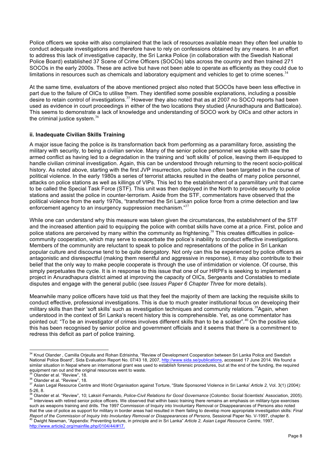Police officers we spoke with also complained that the lack of resources available mean they often feel unable to conduct adequate investigations and therefore have to rely on confessions obtained by any means. In an effort to address this lack of investigative capacity, the Sri Lanka Police (in collaboration with the Swedish National Police Board) established 37 Scene of Crime Officers (SOCOs) labs across the country and then trained 271 SOCOs in the early 2000s. These are active but have not been able to operate as efficiently as they could due to limitations in resources such as chemicals and laboratory equipment and vehicles to get to crime scenes.<sup>3</sup>

At the same time, evaluators of the above mentioned project also noted that SOCOs have been less effective in part due to the failure of OICs to utilise them. They identified some possible explanations, including a possible desire to retain control of investigations.<sup>35</sup> However they also noted that as at 2007 no SOCO reports had been used as evidence in court proceedings in either of the two locations they studied (Anuradhapura and Batticaloa). This seems to demonstrate a lack of knowledge and understanding of SOCO work by OICs and other actors in the criminal justice system.<sup>36</sup>

#### **ii. Inadequate Civilian Skills Training**

A major issue facing the police is its transformation back from performing as a paramilitary force, assisting the military with security, to being a civilian service. Many of the senior police personnel we spoke with saw the armed conflict as having led to a degradation in the training and 'soft skills' of police, leaving them ill-equipped to handle civilian criminal investigation. Again, this can be understood through returning to the recent socio-political history. As noted above, starting with the first JVP insurrection, police have often been targeted in the course of political violence. In the early 1980s a series of terrorist attacks resulted in the deaths of many police personnel, attacks on police stations as well as killings of VIPs. This led to the establishment of a paramilitary unit that came to be called the Special Task Force (STF). This unit was then deployed in the North to provide security to police stations and assist the police in counter-terrorism. Aside from the STF, commentators have observed that the political violence from the early 1970s, "transformed the Sri Lankan police force from a crime detection and law enforcement agency to an insurgency suppression mechanism."<sup>37</sup>

While one can understand why this measure was taken given the circumstances, the establishment of the STF and the increased attention paid to equipping the police with combat skills have come at a price. First, police and police stations are perceived by many within the community as frightening.<sup>38</sup> This creates difficulties in policecommunity cooperation, which may serve to exacerbate the police's inability to conduct effective investigations. Members of the community are reluctant to speak to police and representations of the police in Sri Lankan popular culture and discourse tend to be quite derogatory. Not only can this be experienced by police officers as antagonistic and disrespectful (making them resentful and aggressive in response), it may also contribute to their belief that the only way to make people cooperate is through the use of intimidation or violence. Of course, this simply perpetuates the cycle. It is in response to this issue that one of our HRPFs is seeking to implement a project in Anuradhapura district aimed at improving the capacity of OICs, Sergeants and Constables to mediate disputes and engage with the general public (see *Issues Paper 6 Chapter Three* for more details).

Meanwhile many police officers have told us that they feel the majority of them are lacking the requisite skills to conduct effective, professional investigations. This is due to much greater institutional focus on developing their military skills than their 'soft skills' such as investigation techniques and community relations.<sup>39</sup>Again, when understood in the context of Sri Lanka's recent history this is comprehensible. Yet, as one commentator has pointed out: "To be an investigator of crimes involves different skills than to be a soldier".<sup>40</sup> On the positive side, this has been recognised by senior police and government officials and it seems that there is a commitment to redress this deficit as part of police training.

<sup>&</sup>lt;sup>34</sup> Knud Olander, Camilla Orjeulla and Rohan Edrisinha, "Review of Development Cooperation between Sri Lanka Police and Swedish National Police Board", Sida Evaluation Report No. 07/43 18, 2007, http://www.sida.se/publications, accessed 17 June 2014. We found a similar situation in Nepal where an international grant was used to establish forensic procedures, but at the end of the funding, the required equipment ran out and the original resources went to waste.<br><sup>35</sup> Olander et al. "Review", 18.

<sup>&</sup>lt;sup>36</sup> Olander et al. "Review", 18.<br><sup>36</sup> Olander et al. "Review", 18.<br><sup>37</sup> Asian Legal Resource Centre and World Organisation against Torture, "State Sponsored Violence in Sri Lanka' *Article 2, Vol.* 3(1) (2004):

<sup>5-26, 8.&</sup>lt;br><sup>38</sup> Olander et al. "Review", 10; Laksiri Fernando, *Police-Civil Relations for Good Governance* (Colombo: Social Scientists' Association, 2005).<br><sup>39</sup> Interviews with retired senior police officers. We observed th such as weapons training and drills. The 1997 Commission of Inquiry into Involuntary Removal or Disappearances of Persons also noted that the use of police as support for military in border areas had resulted in them failing to develop more appropriate investigation skills: *Final* 

Report of the Commission of Inquiry Into Involuntary Removal or Disappearances of Persons, Sessional Paper No. V-1997, chapter 8.<br><sup>40</sup> Dwight Newman, "Appendix: Preventing torture, in principle and in Sri Lanka" Article 2, http://www.article2.org/mainfile.php/0104/44/#17.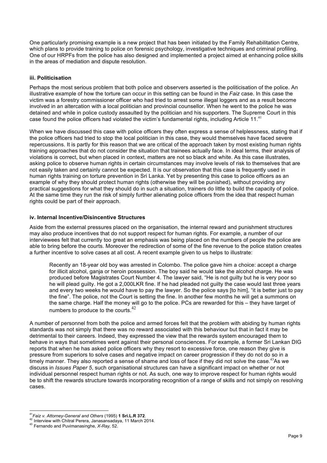One particularly promising example is a new project that has been initiated by the Family Rehabilitation Centre, which plans to provide training to police on forensic psychology, investigative techniques and criminal profiling. One of our HRPFs from the police has also designed and implemented a project aimed at enhancing police skills in the areas of mediation and dispute resolution.

#### **iii. Politicisation**

Perhaps the most serious problem that both police and observers asserted is the politicisation of the police. An illustrative example of how the torture can occur in this setting can be found in the *Faiz* case. In this case the victim was a forestry commissioner officer who had tried to arrest some illegal loggers and as a result become involved in an altercation with a local politician and provincial counsellor. When he went to the police he was detained and while in police custody assaulted by the politician and his supporters. The Supreme Court in this case found the police officers had violated the victim's fundamental rights, including Article 11.<sup>41</sup>

When we have discussed this case with police officers they often express a sense of helplessness, stating that if the police officers had tried to stop the local politician in this case, they would themselves have faced severe repercussions. It is partly for this reason that we are critical of the approach taken by most existing human rights training approaches that do not consider the situation that trainees actually face. In ideal terms, their analysis of violations is correct, but when placed in context, matters are not so black and white. As this case illustrates, asking police to observe human rights in certain circumstances may involve levels of risk to themselves that are not easily taken and certainly cannot be expected. It is our observation that this case is frequently used in human rights training on torture prevention in Sri Lanka. Yet by presenting this case to police officers as an example of why they should protect human rights (otherwise they will be punished), without providing any practical suggestions for what they should do in such a situation, trainers do little to build the capacity of police. At the same time they run the risk of simply further alienating police officers from the idea that respect human rights could be part of their approach.

#### **iv. Internal Incentive/Disincentive Structures**

Aside from the external pressures placed on the organisation, the internal reward and punishment structures may also produce incentives that do not support respect for human rights. For example, a number of our interviewees felt that currently too great an emphasis was being placed on the numbers of people the police are able to bring before the courts. Moreover the redirection of some of the fine revenue to the police station creates a further incentive to solve cases at all cost. A recent example given to us helps to illustrate:

Recently an 18-year old boy was arrested in Colombo. The police gave him a choice: accept a charge for illicit alcohol, ganja or heroin possession. The boy said he would take the alcohol charge. He was produced before Magistrates Court Number 4. The lawyer said, "He is not guilty but he is very poor so he will plead guilty. He got a 2,000LKR fine. If he had pleaded not guilty the case would last three years and every two weeks he would have to pay the lawyer. So the police says [to him], "it is better just to pay the fine". The police, not the Court is setting the fine. In another few months he will get a summons on the same charge. Half the money will go to the police. PCs are rewarded for this – they have target of numbers to produce to the courts.<sup>42</sup>

A number of personnel from both the police and armed forces felt that the problem with abiding by human rights standards was not simply that there was no reward associated with this behaviour but that in fact it may be detrimental to their careers. Indeed, they expressed the view that the rewards system encouraged them to behave in ways that sometimes went against their personal consciences. For example, a former Sri Lankan DIG reports that when he has asked police officers why they resort to excessive force, one reason they give is pressure from superiors to solve cases and negative impact on career progression if they do not do so in a timely manner. They also reported a sense of shame and loss of face if they did not solve the case.<sup>43</sup>As we discuss in *Issues Paper 5*, such organisational structures can have a significant impact on whether or not individual personnel respect human rights or not. As such, one way to improve respect for human rights would be to shift the rewards structure towards incorporating recognition of a range of skills and not simply on resolving cases.

<sup>&</sup>lt;sup>41</sup> Faiz v. Attorney-General and Others (1995) **1 Sri.L.R 372**.<br><sup>42</sup> Interview with Chitral Perera, Janasansadaya, 11 March 2014.<br><sup>43</sup> Fernando and Puvimanasinghe, *X-Ray, 52*.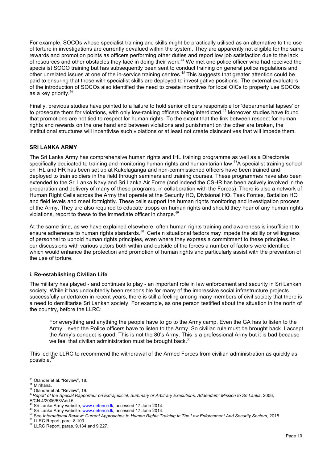For example, SOCOs whose specialist training and skills might be practically utilised as an alternative to the use of torture in investigations are currently devalued within the system. They are apparently not eligible for the same rewards and promotion points as officers performing other duties and report low job satisfaction due to the lack of resources and other obstacles they face in doing their work.<sup>44</sup> We met one police officer who had received the specialist SOCO training but has subsequently been sent to conduct training on general police regulations and other unrelated issues at one of the in-service training centres.<sup>45</sup> This suggests that greater attention could be paid to ensuring that those with specialist skills are deployed to investigative positions. The external evaluators of the introduction of SOCOs also identified the need to create incentives for local OICs to properly use SOCOs as a key priority.<sup>46</sup>

Finally, previous studies have pointed to a failure to hold senior officers responsible for 'departmental lapses' or to prosecute them for violations, with only low-ranking officers being interdicted.<sup>47</sup> Moreover studies have found that promotions are not tied to respect for human rights. To the extent that the link between respect for human rights and rewards on the one hand and between violations and punishment on the other are broken, the institutional structures will incentivise such violations or at least not create disincentives that will impede them.

## **SRI LANKA ARMY**

The Sri Lanka Army has comprehensive human rights and IHL training programme as well as a Directorate specifically dedicated to training and monitoring human rights and humanitarian law.<sup>48</sup>A specialist training school on IHL and HR has been set up at Kukelaganga and non-commissioned officers have been trained and deployed to train soldiers in the field through seminars and training courses. These programmes have also been extended to the Sri Lanka Navy and Sri Lanka Air Force (and indeed the CSHR has been actively involved in the preparation and delivery of many of these programs, in collaboration with the Forces). There is also a network of Human Right Cells across the Army that operate at the Security HQ, Divisional HQ, Task Forces, Battalion HQ and field levels and meet fortnightly. These cells support the human rights monitoring and investigation process of the Army. They are also required to educate troops on human rights and should they hear of any human rights violations, report to these to the immediate officer in charge.<sup>49</sup>

At the same time, as we have explained elsewhere, often human rights training and awareness is insufficient to ensure adherence to human rights standards.<sup>50</sup> Certain situational factors may impede the ability or willingness of personnel to uphold human rights principles, even where they express a commitment to these principles. In our discussions with various actors both within and outside of the forces a number of factors were identified which would enhance the protection and promotion of human rights and particularly assist with the prevention of the use of torture.

#### **i. Re-establishing Civilian Life**

The military has played - and continues to play - an important role in law enforcement and security in Sri Lankan society. While it has undoubtedly been responsible for many of the impressive social infrastructure projects successfully undertaken in recent years, there is still a feeling among many members of civil society that there is a need to demilitarise Sri Lankan society. For example, as one person testified about the situation in the north of the country, before the LLRC:

For everything and anything the people have to go to the Army camp. Even the GA has to listen to the Army…even the Police officers have to listen to the Army. So civilian rule must be brought back. I accept the Army's conduct is good. This is not the 80's Army. This is a professional Army but it is bad because we feel that civilian administration must be brought back.<sup>51</sup>

This led the LLRC to recommend the withdrawal of the Armed Forces from civilian administration as quickly as possible.<sup>52</sup>

<sup>&</sup>lt;sup>44</sup> Olander et al. "Review", 18.<br><sup>45</sup> Mirihana.<br><sup>46</sup> Olander et al. "Review", 19.<br><sup>47</sup>Report of the Special Rapporteur on Extrajudicial, Summary or Arbitrary Executions, Addendum: Mission to Sri Lanka, 2006, E/CN.4/2006/53/Add.5.<br><sup>48</sup> Sri Lanka Army website, www.defence.lk, accessed 17 June 2014.

<sup>&</sup>lt;sup>49</sup> Sri Lanka Army website: www.defence.lk, accessed 17 June 2014.<br><sup>50</sup> See International Review: Current Approaches to Human Rights Training In The Law Enforcement And Security Sectors, 2015.<br><sup>51</sup> LLRC Report, para. 8.10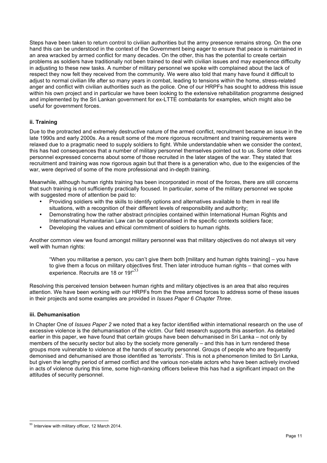Steps have been taken to return control to civilian authorities but the army presence remains strong. On the one hand this can be understood in the context of the Government being eager to ensure that peace is maintained in an area wracked by armed conflict for many decades. On the other, this has the potential to create certain problems as soldiers have traditionally not been trained to deal with civilian issues and may experience difficulty in adjusting to these new tasks. A number of military personnel we spoke with complained about the lack of respect they now felt they received from the community. We were also told that many have found it difficult to adjust to normal civilian life after so many years in combat, leading to tensions within the home, stress-related anger and conflict with civilian authorities such as the police. One of our HRPFs has sought to address this issue within his own project and in particular we have been looking to the extensive rehabilitation programme designed and implemented by the Sri Lankan government for ex-LTTE combatants for examples, which might also be useful for government forces.

## **ii. Training**

Due to the protracted and extremely destructive nature of the armed conflict, recruitment became an issue in the late 1990s and early 2000s. As a result some of the more rigorous recruitment and training requirements were relaxed due to a pragmatic need to supply soldiers to fight. While understandable when we consider the context, this has had consequences that a number of military personnel themselves pointed out to us. Some older forces personnel expressed concerns about some of those recruited in the later stages of the war. They stated that recruitment and training was now rigorous again but that there is a generation who, due to the exigencies of the war, were deprived of some of the more professional and in-depth training.

Meanwhile, although human rights training has been incorporated in most of the forces, there are still concerns that such training is not sufficiently practically focused. In particular, some of the military personnel we spoke with suggested more of attention be paid to:

- Providing soldiers with the skills to identify options and alternatives available to them in real life situations, with a recognition of their different levels of responsibility and authority;
- Demonstrating how the rather abstract principles contained within International Human Rights and International Humanitarian Law can be operationalised in the specific contexts soldiers face;
- Developing the values and ethical commitment of soldiers to human rights.

Another common view we found amongst military personnel was that military objectives do not always sit very well with human rights:

"When you militarise a person, you can't give them both [military and human rights training] – you have to give them a focus on military objectives first. Then later introduce human rights – that comes with experience. Recruits are 18 or 19!"<sup>53</sup>

Resolving this perceived tension between human rights and military objectives is an area that also requires attention. We have been working with our HRPFs from the three armed forces to address some of these issues in their projects and some examples are provided in *Issues Paper 6 Chapter Three*.

#### **iii. Dehumanisation**

In Chapter One of *Issues Paper 2* we noted that a key factor identified within international research on the use of excessive violence is the dehumanisation of the victim. Our field research supports this assertion. As detailed earlier in this paper, we have found that certain groups have been dehumanised in Sri Lanka – not only by members of the security sector but also by the society more generally – and this has in turn rendered these groups more vulnerable to violence at the hands of security personnel. Groups of people who are frequently demonised and dehumanised are those identified as 'terrorists'. This is not a phenomenon limited to Sri Lanka, but given the lengthy period of armed conflict and the various non-state actors who have been actively involved in acts of violence during this time, some high-ranking officers believe this has had a significant impact on the attitudes of security personnel.

 <sup>53</sup> Interview with military officer, 12 March 2014.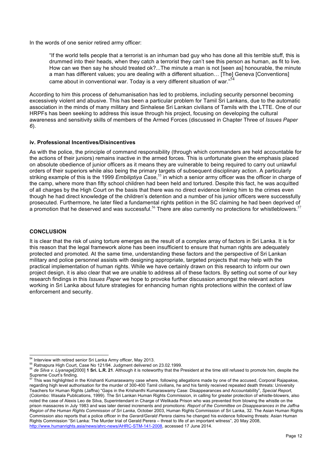In the words of one senior retired army officer:

"If the world tells people that a terrorist is an inhuman bad guy who has done all this terrible stuff, this is drummed into their heads, when they catch a terrorist they can't see this person as human, as fit to live. How can we then say he should treated ok?...The minute a man is not [seen as] honourable, the minute a man has different values; you are dealing with a different situation… [The] Geneva [Conventions] came about in conventional war. Today is a very different situation of war." $54$ 

According to him this process of dehumanisation has led to problems, including security personnel becoming excessively violent and abusive. This has been a particular problem for Tamil Sri Lankans, due to the automatic association in the minds of many military and Sinhalese Sri Lankan civilians of Tamils with the LTTE. One of our HRPFs has been seeking to address this issue through his project, focusing on developing the cultural awareness and sensitivity skills of members of the Armed Forces (discussed in Chapter Three of *Issues Paper 6*).

#### **iv. Professional Incentives/Disincentives**

As with the police, the principle of command responsibility (through which commanders are held accountable for the actions of their juniors) remains inactive in the armed forces. This is unfortunate given the emphasis placed on absolute obedience of junior officers as it means they are vulnerable to being required to carry out unlawful orders of their superiors while also being the primary targets of subsequent disciplinary action. A particularly striking example of this is the 1999 *Embiliptiya Case*, <sup>55</sup> in which a senior army officer was the officer in charge of the camp, where more than fifty school children had been held and tortured. Despite this fact, he was acquitted of all charges by the High Court on the basis that there was no direct evidence linking him to the crimes even though he had direct knowledge of the children's detention and a number of his junior officers were successfully prosecuted. Furthermore, he later filed a fundamental rights petition in the SC claiming he had been deprived of a promotion that he deserved and was successful.<sup>56</sup> There are also currently no protections for whistleblowers.<sup>57</sup>

#### **CONCLUSION**

It is clear that the risk of using torture emerges as the result of a complex array of factors in Sri Lanka. It is for this reason that the legal framework alone has been insufficient to ensure that human rights are adequately protected and promoted. At the same time, understanding these factors and the perspective of Sri Lankan military and police personnel assists with designing appropriate, targeted projects that may help with the practical implementation of human rights. While we have certainly drawn on this research to inform our own project design, it is also clear that we are unable to address all of these factors. By setting out some of our key research findings in this *Issues Paper* we hope to provoke further discussion amongst the relevant actors working in Sri Lanka about future strategies for enhancing human rights protections within the context of law enforcement and security.

<sup>&</sup>lt;sup>54</sup> Interview with retired senior Sri Lanka Army officer, May 2013.<br><sup>55</sup> Ratnapura High Court, Case No 121/94. Judgment delivered on 23.02.1999.<br><sup>56</sup> de S*ilva v. Liyanage*[2000] **1 Sri. L.R. 21**. Although it is noteworth Supreme Court's finding.

<sup>57</sup> This was highlighted in the Krishanti Kumaraswamy case where, following allegations made by one of the accused, Corporal Rajapakse, regarding high level authorisation for the murder of 300-400 Tamil civilians, he and his family received repeated death threats: University Teachers for Human Rights (Jaffna) "Gaps in the Krishanthi Kumaraswamy Case: Disappearances and Accountability", *Special Report*, (Colombo: Wasala Publications, 1999). The Sri Lankan Human Rights Commission, in calling for greater protection of whistle-blowers, also noted the case of Alexis Leo de Silva, Superintendant in Charge of Welikada Prison who was prevented from blowing the whistle on the prison massacres in July 1983 and was later denied increments and promotions: *Report of the Committee on Disappearances in the Jaffna Region of the Human Rights Commission of Sri Lanka*, October 2003, Human Rights Commission of Sri Lanka, 32. The Asian Human Rights Commission also reports that a police officer in the *Gerard/Gerald Perera* claims he changed his evidence following threats: Asian Human Rights Commission "Sri Lanka: The Murder trial of Gerald Perera – threat to life of an important witness", 20 May 2008, http://www.humanrights.asia/news/ahrc-news/AHRC-STM-141-2008, accessed 17 June 2014.